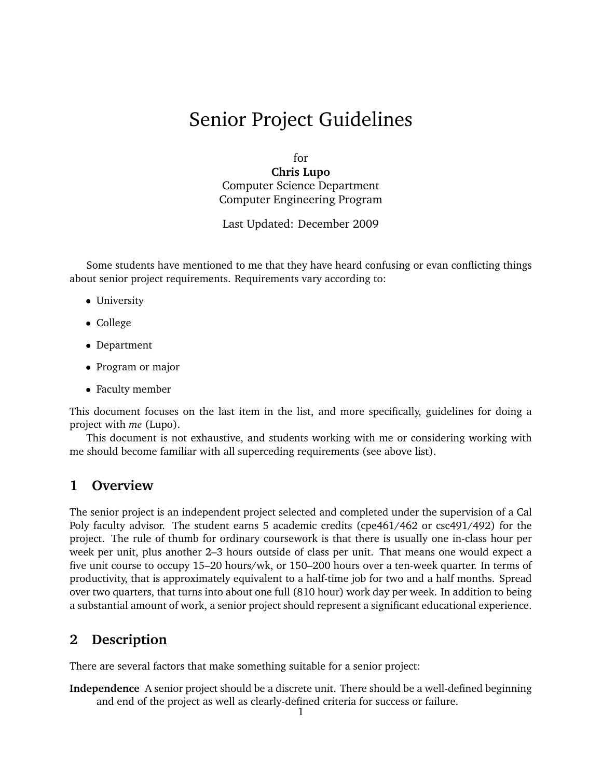# Senior Project Guidelines

for

**Chris Lupo** Computer Science Department Computer Engineering Program

Last Updated: December 2009

Some students have mentioned to me that they have heard confusing or evan conflicting things about senior project requirements. Requirements vary according to:

- University
- College
- Department
- Program or major
- Faculty member

This document focuses on the last item in the list, and more specifically, guidelines for doing a project with *me* (Lupo).

This document is not exhaustive, and students working with me or considering working with me should become familiar with all superceding requirements (see above list).

# **1 Overview**

The senior project is an independent project selected and completed under the supervision of a Cal Poly faculty advisor. The student earns 5 academic credits (cpe461/462 or csc491/492) for the project. The rule of thumb for ordinary coursework is that there is usually one in-class hour per week per unit, plus another 2–3 hours outside of class per unit. That means one would expect a five unit course to occupy 15–20 hours/wk, or 150–200 hours over a ten-week quarter. In terms of productivity, that is approximately equivalent to a half-time job for two and a half months. Spread over two quarters, that turns into about one full (810 hour) work day per week. In addition to being a substantial amount of work, a senior project should represent a significant educational experience.

# **2 Description**

There are several factors that make something suitable for a senior project:

**Independence** A senior project should be a discrete unit. There should be a well-defined beginning and end of the project as well as clearly-defined criteria for success or failure.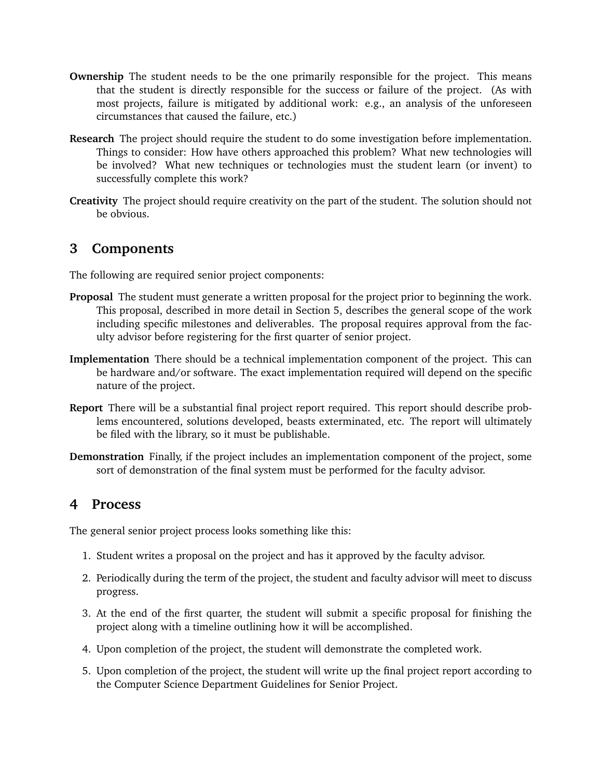- **Ownership** The student needs to be the one primarily responsible for the project. This means that the student is directly responsible for the success or failure of the project. (As with most projects, failure is mitigated by additional work: e.g., an analysis of the unforeseen circumstances that caused the failure, etc.)
- **Research** The project should require the student to do some investigation before implementation. Things to consider: How have others approached this problem? What new technologies will be involved? What new techniques or technologies must the student learn (or invent) to successfully complete this work?
- **Creativity** The project should require creativity on the part of the student. The solution should not be obvious.

# **3 Components**

The following are required senior project components:

- **Proposal** The student must generate a written proposal for the project prior to beginning the work. This proposal, described in more detail in Section 5, describes the general scope of the work including specific milestones and deliverables. The proposal requires approval from the faculty advisor before registering for the first quarter of senior project.
- **Implementation** There should be a technical implementation component of the project. This can be hardware and/or software. The exact implementation required will depend on the specific nature of the project.
- **Report** There will be a substantial final project report required. This report should describe problems encountered, solutions developed, beasts exterminated, etc. The report will ultimately be filed with the library, so it must be publishable.
- **Demonstration** Finally, if the project includes an implementation component of the project, some sort of demonstration of the final system must be performed for the faculty advisor.

# **4 Process**

The general senior project process looks something like this:

- 1. Student writes a proposal on the project and has it approved by the faculty advisor.
- 2. Periodically during the term of the project, the student and faculty advisor will meet to discuss progress.
- 3. At the end of the first quarter, the student will submit a specific proposal for finishing the project along with a timeline outlining how it will be accomplished.
- 4. Upon completion of the project, the student will demonstrate the completed work.
- 5. Upon completion of the project, the student will write up the final project report according to the Computer Science Department Guidelines for Senior Project.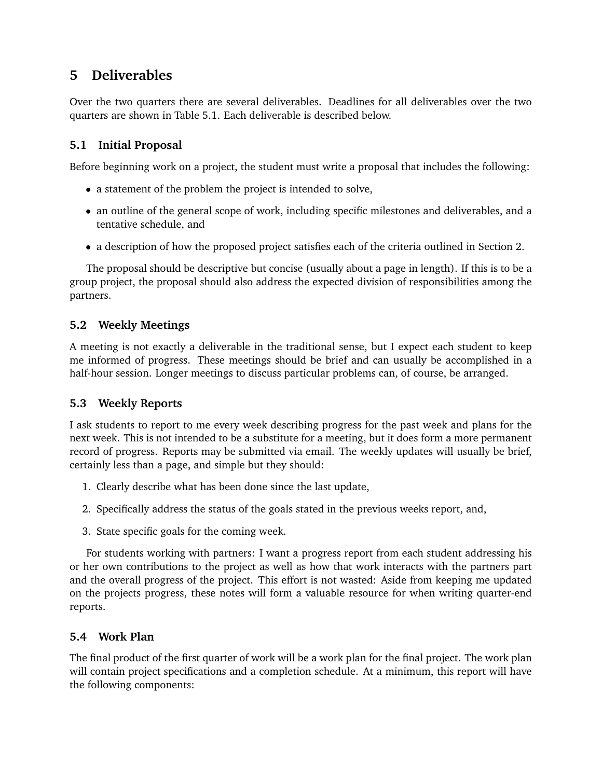# **5 Deliverables**

Over the two quarters there are several deliverables. Deadlines for all deliverables over the two quarters are shown in Table 5.1. Each deliverable is described below.

# **5.1 Initial Proposal**

Before beginning work on a project, the student must write a proposal that includes the following:

- a statement of the problem the project is intended to solve,
- an outline of the general scope of work, including specific milestones and deliverables, and a tentative schedule, and
- a description of how the proposed project satisfies each of the criteria outlined in Section 2.

The proposal should be descriptive but concise (usually about a page in length). If this is to be a group project, the proposal should also address the expected division of responsibilities among the partners.

## **5.2 Weekly Meetings**

A meeting is not exactly a deliverable in the traditional sense, but I expect each student to keep me informed of progress. These meetings should be brief and can usually be accomplished in a half-hour session. Longer meetings to discuss particular problems can, of course, be arranged.

## **5.3 Weekly Reports**

I ask students to report to me every week describing progress for the past week and plans for the next week. This is not intended to be a substitute for a meeting, but it does form a more permanent record of progress. Reports may be submitted via email. The weekly updates will usually be brief, certainly less than a page, and simple but they should:

- 1. Clearly describe what has been done since the last update,
- 2. Specifically address the status of the goals stated in the previous weeks report, and,
- 3. State specific goals for the coming week.

For students working with partners: I want a progress report from each student addressing his or her own contributions to the project as well as how that work interacts with the partners part and the overall progress of the project. This effort is not wasted: Aside from keeping me updated on the projects progress, these notes will form a valuable resource for when writing quarter-end reports.

## **5.4 Work Plan**

The final product of the first quarter of work will be a work plan for the final project. The work plan will contain project specifications and a completion schedule. At a minimum, this report will have the following components: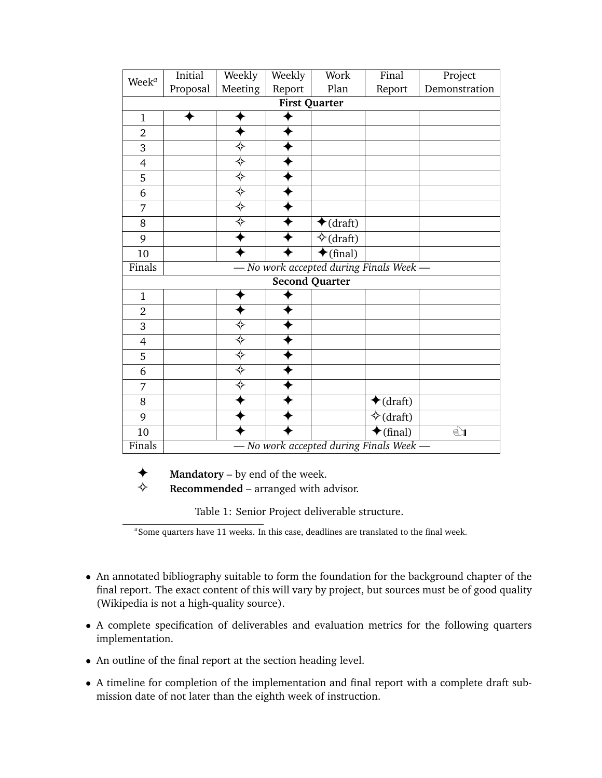| Week <sup>a</sup> | Initial<br>Proposal | Weekly<br>Meeting         | Weekly<br>Report | Work<br>Plan                          | Final<br>Report    | Project<br>Demonstration |
|-------------------|---------------------|---------------------------|------------------|---------------------------------------|--------------------|--------------------------|
|                   |                     |                           |                  | <b>First Quarter</b>                  |                    |                          |
| $\mathbf{1}$      |                     |                           |                  |                                       |                    |                          |
| $\overline{2}$    |                     |                           |                  |                                       |                    |                          |
| 3                 |                     | ❖                         |                  |                                       |                    |                          |
| $\overline{4}$    |                     | $\overline{\diamondsuit}$ |                  |                                       |                    |                          |
| 5                 |                     |                           |                  |                                       |                    |                          |
| 6                 |                     | ⊹<br>⇒                    |                  |                                       |                    |                          |
| 7                 |                     | $\overline{\diamondsuit}$ |                  |                                       |                    |                          |
| 8                 |                     | $\overline{\diamondsuit}$ |                  | $\bigstar$ (draft)                    |                    |                          |
| 9                 |                     |                           |                  | $\Diamond$ (draft)                    |                    |                          |
| 10                |                     |                           |                  | $\bigstar$ (final)                    |                    |                          |
| Finals            |                     |                           |                  | No work accepted during Finals Week - |                    |                          |
|                   |                     |                           |                  | <b>Second Quarter</b>                 |                    |                          |
| $\mathbf{1}$      |                     |                           |                  |                                       |                    |                          |
| $\overline{2}$    |                     |                           |                  |                                       |                    |                          |
| 3                 |                     | $\overline{\diamondsuit}$ |                  |                                       |                    |                          |
| $\overline{4}$    |                     | $\overline{\diamondsuit}$ |                  |                                       |                    |                          |
| 5                 |                     | $\overline{\diamondsuit}$ |                  |                                       |                    |                          |
| 6                 |                     | ❖                         |                  |                                       |                    |                          |
| 7                 |                     | ❖                         |                  |                                       |                    |                          |
| 8                 |                     |                           |                  |                                       | $\bigstar$ (draft) |                          |
| 9                 |                     |                           |                  |                                       | $\diamond$ (draft) |                          |
| 10                |                     |                           |                  |                                       | $\bigstar$ (final) | $\overline{\mathbf{E}}$  |
| Finals            |                     |                           |                  | No work accepted during Finals Week   |                    |                          |

Table 1: Senior Project deliverable structure.

- An annotated bibliography suitable to form the foundation for the background chapter of the final report. The exact content of this will vary by project, but sources must be of good quality (Wikipedia is not a high-quality source).
- A complete specification of deliverables and evaluation metrics for the following quarters implementation.
- An outline of the final report at the section heading level.
- A timeline for completion of the implementation and final report with a complete draft submission date of not later than the eighth week of instruction.

*a* Some quarters have 11 weeks. In this case, deadlines are translated to the final week.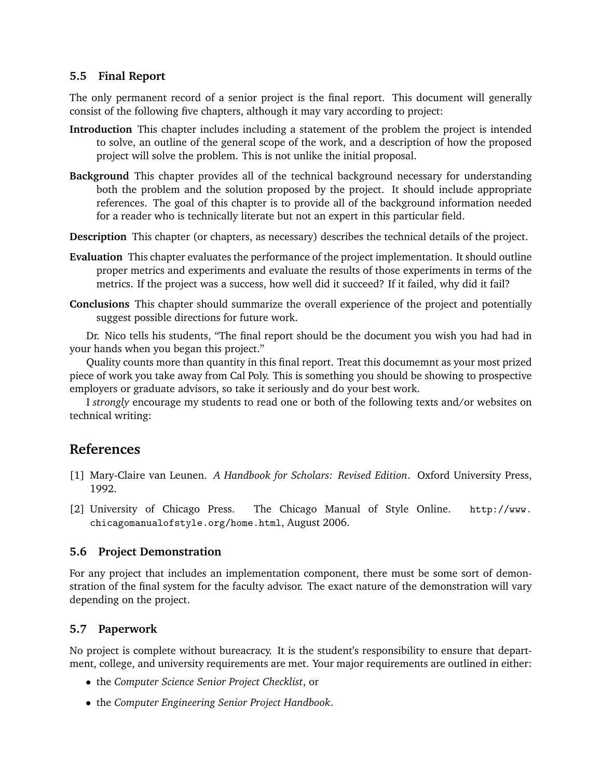#### **5.5 Final Report**

The only permanent record of a senior project is the final report. This document will generally consist of the following five chapters, although it may vary according to project:

- **Introduction** This chapter includes including a statement of the problem the project is intended to solve, an outline of the general scope of the work, and a description of how the proposed project will solve the problem. This is not unlike the initial proposal.
- **Background** This chapter provides all of the technical background necessary for understanding both the problem and the solution proposed by the project. It should include appropriate references. The goal of this chapter is to provide all of the background information needed for a reader who is technically literate but not an expert in this particular field.
- **Description** This chapter (or chapters, as necessary) describes the technical details of the project.
- **Evaluation** This chapter evaluates the performance of the project implementation. It should outline proper metrics and experiments and evaluate the results of those experiments in terms of the metrics. If the project was a success, how well did it succeed? If it failed, why did it fail?
- **Conclusions** This chapter should summarize the overall experience of the project and potentially suggest possible directions for future work.

Dr. Nico tells his students, "The final report should be the document you wish you had had in your hands when you began this project."

Quality counts more than quantity in this final report. Treat this documemnt as your most prized piece of work you take away from Cal Poly. This is something you should be showing to prospective employers or graduate advisors, so take it seriously and do your best work.

I *strongly* encourage my students to read one or both of the following texts and/or websites on technical writing:

# **References**

- [1] Mary-Claire van Leunen. *A Handbook for Scholars: Revised Edition*. Oxford University Press, 1992.
- [2] University of Chicago Press. The Chicago Manual of Style Online. http://www. chicagomanualofstyle.org/home.html, August 2006.

## **5.6 Project Demonstration**

For any project that includes an implementation component, there must be some sort of demonstration of the final system for the faculty advisor. The exact nature of the demonstration will vary depending on the project.

## **5.7 Paperwork**

No project is complete without bureacracy. It is the student's responsibility to ensure that department, college, and university requirements are met. Your major requirements are outlined in either:

- the *Computer Science Senior Project Checklist*, or
- the *Computer Engineering Senior Project Handbook*.